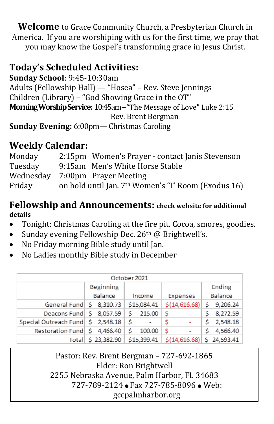**Welcome** to Grace Community Church, a Presbyterian Church in America. If you are worshiping with us for the first time, we pray that you may know the Gospel's transforming grace in Jesus Christ.

## **Today's Scheduled Activities:**

**Sunday School**: 9:45-10:30am Adults (Fellowship Hall) — "Hosea" – Rev. Steve Jennings Children (Library) – "God Showing Grace in the OT" **Morning Worship Service:** 10:45am–"The Message of Love" Luke 2:15 Rev. Brent Bergman **Sunday Evening:** 6:00pm—Christmas Caroling

## **Weekly Calendar:**

| Monday  | 2:15pm Women's Prayer - contact Janis Stevenson                 |  |
|---------|-----------------------------------------------------------------|--|
| Tuesday | 9:15am Men's White Horse Stable                                 |  |
|         | Wednesday 7:00pm Prayer Meeting                                 |  |
| Friday  | on hold until Jan. 7 <sup>th</sup> Women's 'T' Room (Exodus 16) |  |

### **Fellowship and Announcements: check website for additional details**

- Tonight: Christmas Caroling at the fire pit. Cocoa, smores, goodies.
- Sunday evening Fellowship Dec. 26<sup>th</sup> @ Brightwell's.
- No Friday morning Bible study until Jan.
- No Ladies monthly Bible study in December

| October 2021                      |             |              |               |                                                   |  |  |
|-----------------------------------|-------------|--------------|---------------|---------------------------------------------------|--|--|
|                                   | Beginning   |              |               | Ending                                            |  |  |
|                                   | Balance     | Income       | Expenses      | Balance                                           |  |  |
| General Fund   \$ 8,310.73        |             | \$15,084.41  | \$(14,616.68) | 9,206.24<br>Ś                                     |  |  |
| Deacons Fund \$ 8,057.59          |             | s.<br>215.00 | s             | 8,272.59                                          |  |  |
| Special Outreach Fund \$ 2,548.18 |             | -S           | s             | 2,548.18                                          |  |  |
| Restoration Fund 5 4,466.40       |             | 100.00<br>S  | .S<br>۰       | 4,566.40                                          |  |  |
| Total                             | \$23,382.90 | \$15,399.41  |               | $\frac{1}{2}$ (14,616.68) $\frac{1}{2}$ 24,593.41 |  |  |

Pastor: Rev. Brent Bergman – 727-692-1865 Elder: Ron Brightwell 2255 Nebraska Avenue, Palm Harbor, FL 34683 727-789-2124 ● Fax 727-785-8096 ● Web: gccpalmharbor.org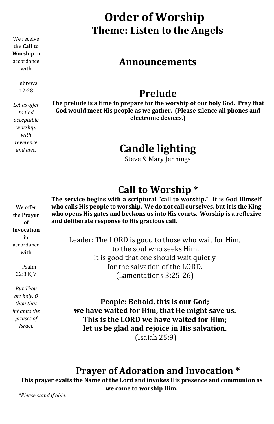We receive the **Call to Worship** in accordance with

> Hebrews 12:28

*Let us offer to God acceptable worship, with reverence and awe.*

# **Order of Worship Theme: Listen to the Angels**

## **Announcements**

## **Prelude**

**The prelude is a time to prepare for the worship of our holy God. Pray that God would meet His people as we gather. (Please silence all phones and electronic devices.)**

# **Candle lighting**

Steve & Mary Jennings

# **Call to Worship \***

**The service begins with a scriptural "call to worship." It is God Himself who calls His people to worship. We do not call ourselves, but it is the King who opens His gates and beckons us into His courts. Worship is a reflexive and deliberate response to His gracious call**.

Leader: The LORD is good to those who wait for Him, to the soul who seeks Him. It is good that one should wait quietly for the salvation of the LORD. (Lamentations 3:25-26)

**People: Behold, this is our God; we have waited for Him, that He might save us. This is the LORD we have waited for Him; let us be glad and rejoice in His salvation.** (Isaiah 25:9)

## **Prayer of Adoration and Invocation \***

**This prayer exalts the Name of the Lord and invokes His presence and communion as we come to worship Him.** 

*\*Please stand if able.*

We offer the **Prayer of Invocation** in accordance with

 Psalm 22:3 KJV

*But Thou art holy, O thou that inhabits the praises of Israel.*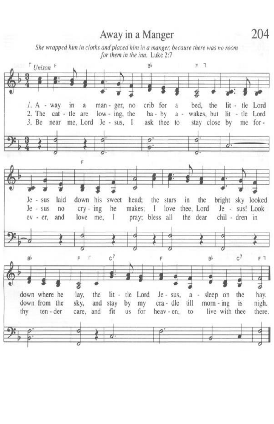# Away in a Manger

She wrapped him in cloths and placed him in a manger, because there was no room for them in the inn. Luke 2:7



204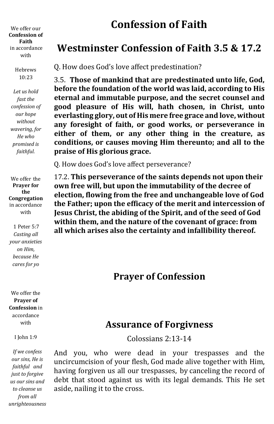We offer our **Confession of Faith** in accordance with

> Hebrews 10:23

*Let us hold fast the confession of our hope without wavering, for He who promised is faithful.*

We offer the **Prayer for the Congregation** in accordance with

1 Peter 5:7 *Casting all your anxieties on Him, because He cares for yo*

We offer the **Prayer of Confession** in accordance with

I John 1:9

*If we confess our sins, He is faithful and just to forgive us our sins and to cleanse us from all unrighteousness*

# **Confession of Faith**

## **Westminster Confession of Faith 3.5 & 17.2**

Q. How does God's love affect predestination?

3.5. **Those of mankind that are predestinated unto life, God, before the foundation of the world was laid, according to His eternal and immutable purpose, and the secret counsel and good pleasure of His will, hath chosen, in Christ, unto everlasting glory, out of His mere free grace and love, without any foresight of faith, or good works, or perseverance in either of them, or any other thing in the creature, as conditions, or causes moving Him thereunto; and all to the praise of His glorious grace.**

Q. How does God's love affect perseverance?

17.2. **This perseverance of the saints depends not upon their own free will, but upon the immutability of the decree of election, flowing from the free and unchangeable love of God the Father; upon the efficacy of the merit and intercession of Jesus Christ, the abiding of the Spirit, and of the seed of God within them, and the nature of the covenant of grace: from all which arises also the certainty and infallibility thereof.**

### **Prayer of Confession**

### **Assurance of Forgivness**

Colossians 2:13-14

And you, who were dead in your trespasses and the uncircumcision of your flesh, God made alive together with Him, having forgiven us all our trespasses, by canceling the record of debt that stood against us with its legal demands. This He set aside, nailing it to the cross.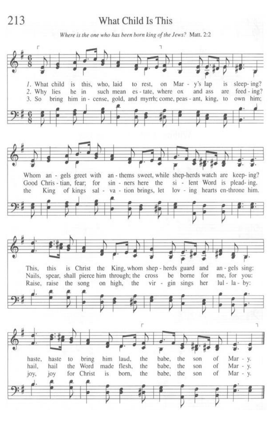### What Child Is This

Where is the one who has been born king of the Jews? Matt. 2:2

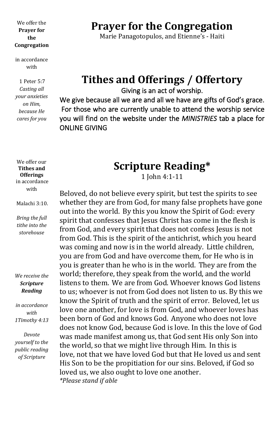#### We offer the **Prayer for the Congregation**

in accordance with

1 Peter 5:7 *Casting all your anxieties on Him, because He cares for you*

### **Prayer for the Congregation**

Marie Panagotopulos, and Etienne's - Haiti

# **Tithes and Offerings / Offertory**

Giving is an act of worship.

We give because all we are and all we have are gifts of God's grace. For those who are currently unable to attend the worship service you will find on the website under the *MINISTRIES* tab a place for ONLINE GIVING

We offer our **Tithes and Offerings** in accordance with

Malachi 3:10.

*Bring the full tithe into the storehouse*

*We receive the Scripture Reading*

*in accordance with 1Timothy 4:13*

*Devote yourself to the public reading of Scripture*

## **Scripture Reading\***

1 John 4:1-11

Beloved, do not believe every spirit, but test the spirits to see whether they are from God, for many false prophets have gone out into the world. By this you know the Spirit of God: every spirit that confesses that Jesus Christ has come in the flesh is from God, and every spirit that does not confess Jesus is not from God. This is the spirit of the antichrist, which you heard was coming and now is in the world already. Little children, you are from God and have overcome them, for He who is in you is greater than he who is in the world. They are from the world; therefore, they speak from the world, and the world listens to them. We are from God. Whoever knows God listens to us; whoever is not from God does not listen to us. By this we know the Spirit of truth and the spirit of error. Beloved, let us love one another, for love is from God, and whoever loves has been born of God and knows God. Anyone who does not love does not know God, because God is love. In this the love of God was made manifest among us, that God sent His only Son into the world, so that we might live through Him. In this is love, not that we have loved God but that He loved us and sent His Son to be the propitiation for our sins. Beloved, if God so loved us, we also ought to love one another. *\*Please stand if able*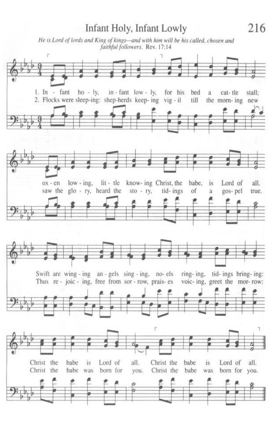#### 216 Infant Holy, Infant Lowly He is Lord of lords and King of kings-and with him will be his called, chosen and faithful followers. Rev. 17:14 F 1. In - fant ho -  $ly$ , in - fant low - ly, for his bed a cat-tle stall: 2. Flocks were sleep-ing: shep-herds keep-ing vig-il till the morn-ing new low-ing, lit-tle know- ing Christ, the babe, Lord of all.  $OX - en$ is saw the glo - ry, heard the  $sto - ry$ , tid-ings of gos-pel a true.





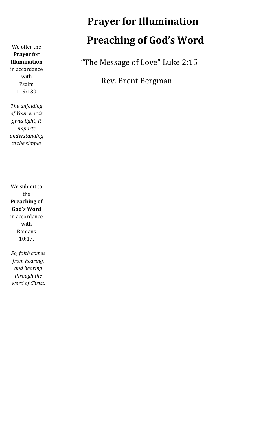We offer the **Prayer for Illumination** in accordance with Psalm 119:130

*The unfolding of Your words gives light; it imparts understanding to the simple.*

We submit to the **Preaching of God's Word**  in accordance with Romans 10:17.

*So, faith comes from hearing, and hearing through the word of Christ.*

# **Prayer for Illumination Preaching of God's Word**

"The Message of Love" Luke 2:15

Rev. Brent Bergman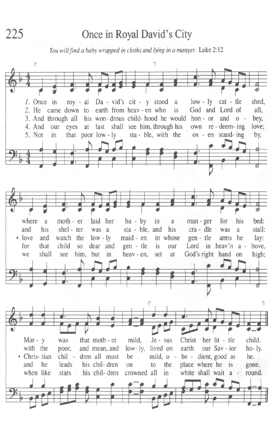225

## Once in Royal David's City

You will find a baby wrapped in cloths and lying in a manger. Luke 2:12

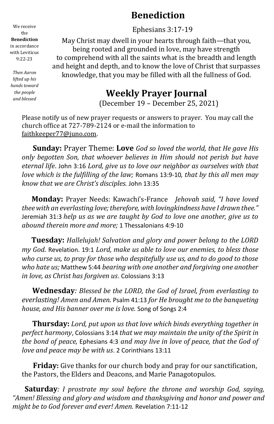## **Benediction**

Ephesians 3:17-19

May Christ may dwell in your hearts through faith—that you, being rooted and grounded in love, may have strength to comprehend with all the saints what is the breadth and length and height and depth, and to know the love of Christ that surpasses knowledge, that you may be filled with all the fullness of God.

## **Weekly Prayer Journal**

(December 19 – December 25, 2021)

Please notify us of new prayer requests or answers to prayer. You may call the church office at 727-789-2124 or e-mail the information to faithkeeper77@juno.com.

 **Sunday:** Prayer Theme: **Love** *God so loved the world, that He gave His only begotten Son, that whoever believes in Him should not perish but have eternal life*. John 3:16 *Lord, give us to love our neighbor as ourselves with that love which is the fulfilling of the law;* Romans 13:9-10*, that by this all men may know that we are Christ's disciples.* John 13:35

 **Monday:** Prayer Needs: Kawachi's-France *Jehovah said, "I have loved thee with an everlasting love; therefore, with lovingkindness have I drawn thee."* Jeremiah 31:3 *help us as we are taught by God to love one another, give us to abound therein more and more;* 1 Thessalonians 4:9-10

 **Tuesday:** *Hallelujah! Salvation and glory and power belong to the LORD my God.* Revelation. 19:1 *Lord, make us able to love our enemies, to bless those who curse us, to pray for those who despitefully use us, and to do good to those who hate us;* Matthew 5:44 *bearing with one another and forgiving one another in love, as Christ has forgiven us*. Colossians 3:13

 **Wednesday***: Blessed be the LORD, the God of Israel, from everlasting to everlasting! Amen and Amen.* Psalm 41:13 *for He brought me to the banqueting house, and His banner over me is love.* Song of Songs 2:4

 **Thursday:** *Lord, put upon us that love which binds everything together in perfect harmony*, Colossians 3:14 *that we may maintain the unity of the Spirit in the bond of peace,* Ephesians 4:3 *and may live in love of peace, that the God of love and peace may be with us*. 2 Corinthians 13:11

 **Friday:** Give thanks for our church body and pray for our sanctification, the Pastors, the Elders and Deacons, and Marie Panagotopulos.

 **Saturday***: I prostrate my soul before the throne and worship God, saying, "Amen! Blessing and glory and wisdom and thanksgiving and honor and power and might be to God forever and ever! Amen.* Revelation 7:11-12

We receive the **Benediction** in accordance with Leviticus 9:22-23

*Then Aaron lifted up his hands toward the people and blessed*